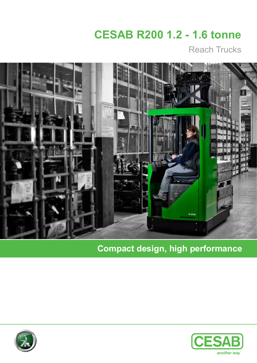# **CESAB R200 1.2 - 1.6 tonne**

Reach Trucks



**Compact design, high performance**



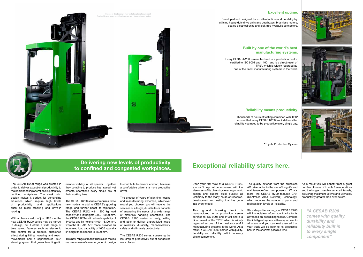The CESAB R200 range was created in order to deliver exceptional productivity to materials handling operations in potentially confined workplaces. The sleek, slim design makes it perfect for demanding situations which require high levels of productivity and applications such as block stacking and drive-in racking.

With a chassis width of just 1120 mm the new CESAB R200 series may be narrow in design, but it offers a wide range of time saving features such as electronic fork control for a smooth, cushioned effect during lifting, lowering and reach movements and a sophisticated 360º steering system that guarantees fingertip

manoeuvrability at all speeds. Together they combine to produce high speed, yet smooth operations every single day of their working lives.

The CESAB R200 series comprises three new models to add to CESAB's growing range and further boost its reputation. The CESAB R212 with 1200 kg load capacity and lift heights 3350 - 6000 mm, the CESAB R214 with a load capability of 1400 kg and lift heights 4400 - 6300 mm, while the CESAB R216 model provides an increased load capability of 1600 kg and a lift height that extends to 8500 mm.

This new range of reach trucks also makes maximum use of clever ergonomic design

to contribute to driver's comfort, because a comfortable driver is a more productive driver.

The product of years of planning, testing and manufacturing expertise, whichever model you choose, you will receive the services of a tough, durable truck capable of answering the needs of a wide range of materials handling operations. The CESAB R200 series is ready, willing and able to deliver unparalleled levels of reliability, durability, manoeuvrability, safety and ultimately productivity.

Developed and designed for excellent uptime and durability by utilising heavy-duty drive units and gearboxes, brushless motors, sealed electrical units and leak-free hydraulic connectors.

The CESAB R200 series: squeezing the last drop of productivity out of congested work places.

Upon your first view of a CESAB R200, you can't help but be impressed with the sleekness of its chassis, clever ergonomic design and superb build quality; all testimony to the many hours of research, development and testing that has gone into every model.

Images in this brochure may include optional equipment. ilability and exact specifications may vary depending on regior

This ground breaking truck is manufactured in a production centre certified to ISO 9001 and 14001 and is a direct result of the TPS\*, which is widely regarded as one of the most successful manufacturing systems in the world. As a result, a CESAB R200 comes with quality, durability and reliability built in to every single component.

The quality extends from the brushless AC drive motor to the use of long-life and maintenance-free components. What's more, the CESAB R200 features CAN (Controller Area Network) technology, which reduces the number of parts and realises high levels of reliability.

Should a problem arise, your CESAB R200 will immediately inform you thanks to its advanced on-board diagnostics. Combine this intelligent system with easy access to all areas and you can rest assured that your truck will be back to its productive best in the shortest possible time.

As a result you will benefit from a great number of hours of trouble free operations and the longest possible service intervals, delivering maximum uptime and ultimately productivity greater than ever before.

#### **Excellent uptime.**







### **Built by one of the world's best manufacturing systems.**

Every CESAB R200 is manufactured in a production centre certified to ISO 9001 and 14001 and is a direct result of TPS\*, which is widely regarded as one of the finest manufacturing systems in the world.

### **Reliability means productivity.**

Thousands of hours of testing combined with TPS\* ensure that every CESAB R200 truck delivers the reliability you need to be productive every single day.



*"A CESAB R200 comes with quality, durability and reliability built in to every single component"*

### **Exceptional reliability starts here. Delivering new levels of productivity to confined and congested workplaces.**

\*Toyota Production System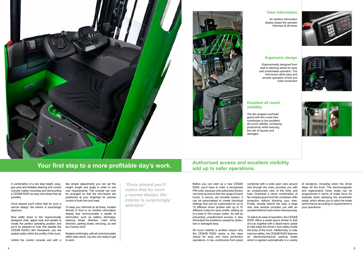A combination of a low step height, easygrip post and foldable steering and control console makes mounting and dismounting a CESAB R200 as easy and stress free as possible.

Once aboard you'll notice that for such a narrow design, the interior is surprisingly spacious.

Now settle down in the ergonomically designed chair, adjust seat and pedals to create the perfect operating position and you'll be pleased to note that despite the CESAB R200's slim framework, you are seated stably within the profile of the truck.

Unfold the control console and with a

few simple adjustments you can set the height, length and angle in order to suit your requirements. The console can now be arranged so that the mini-levers are positioned at your fingertips for precise control of both fork and mast.

To keep you informed at all times, located directly in front is an intuitive information display that communicates a wealth of information such as battery discharge, steering wheel direction, main drive direction, parking brake, servicing, as well as a handy clock.

Seated comfortably, with all controls located within easy reach, you are now ready to get to work.

To add to its ease of operation, the CESAB R200 offers a pedal layout similar to that of a car, together with a 'dead-man's' pedal to help keep the driver's foot safely inside the body of the truck. Additionally, to help improve safety, the CESAB R200 features an electromechanical parking brake which is applied automatically in a variety

*"Once aboard you'll notice that for such a narrow design, the interior is surprisingly spacious"*

Before you can start up a new CESAB R200, you'll have to enter a recognised PIN code, because only authorised drivers can have access to this new range of reach trucks. A secure, yet versatile system, it can be personalised to create individual settings that can be customised for up to 10 different driver profiles with up to 10 different codes for each profile, adding up to a total of 100 unique codes. As well as preventing unauthorised access, it also eliminates the problems caused by stolen, lost or damaged keys.

All round visibility is another reason why the CESAB R200 series is the clear choice for easy and more productive operations. A low, unobtrusive front panel combined with a wide open view around and through the mast, provides you with an unobstructed view of the forks and load. Overhead a clever combination of fan-shaped guard and thin crossbars offer protection without blocking your view. Finally, directly behind the seat, a large rear view window provides you with an excellent field of vision when manoeuvring.

of situations, including when the driver steps off the truck. The electromagnetic and regenerative travel brake can be programmed in terms of brake force for example when releasing the accelerator pedal, which allows you to tailor the brake performance according to requirements in your operations.

#### **Excellent all round visibility.**

The fan-shaped overhead guard with thin cross bars contributes to the excellent all-round visibility, increasing productivity while reducing the risk of injuries and damages.

## **Your first step to a more profitable day's work.** All and up to safer operations.

#### **Ergonomic design.**









Ergonomically designed from seat to steering wheel for easy and comfortable operation. The mini-levers allow easy and smooth operation of fork and mast movement.

#### **Clear information.**

An intuitive information display keeps the operator informed at all times.



# **Authorised access and excellent visibility**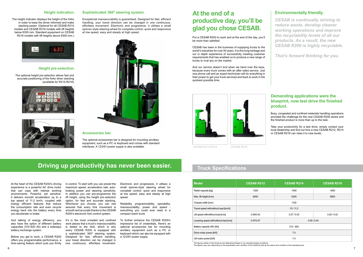At the heart of the CESAB R200's driving experience is a powerful AC drive motor that can cope with intense working environments. Powerful, yet sensitive, it delivers smooth acceleration up to a top speed of 11.2 km/h, coupled with energy efficient features that reduce the consumption rate and even recycle energy back into the battery every time you decelerate or brake.

And talking of energy efficiency, you also have the option of different battery capacities (310-620 Ah) and a sideways battery exchange system.

Before you get to work, a CESAB R200 offers you programmable performance, a time-saving feature which puts you firmly

in control. To start with you can preset the maximum speed, acceleration rate, autobraking power and steering sensitivity. In addition you can pre-programme the lift height, using the height pre-selection option, for fast and accurate stacking. Whichever you choose, you can rest assured that every fork movement is smooth and accurate thanks to the CESAB R200's electronic fork control system.

It's in the most crowded and confined work places that a truck's manoeuvrability is tested to the limit, which is why every CESAB R200 is equipped with a sophisticated 360º steering system. Designed for fast, efficient handling, your travel direction can be changed in one continuous, effortless movement.

Electronic and progressive, it utilises a small spinner-style steering wheel for complete control: quick and responsive at low speed, easy and steady at high speed.

Reliability, programmability, operability, manoeuvrability, power and speed everything you could ever need in a compact reach truck.

> The figures written in this brochure are determined based on our standard testing conditions. The figures may vary depending on the specification and condition of the forklift as well as the nature and condition of the operating area.

To further enhance the CESAB R200's impressive list of credentials, there's an optional accessories bar for mounting ancillary equipment such as a PC or keyboard which can also be equipped with a 12/24V power supply.

**Sophisticated 360º steering system.**

Exceptional manoeuvrability is guaranteed. Designed for fast, efficient handling, your travel direction can be changed in one continuous, effortless movement. Electronic and progressive, it utilises a small spinner-style steering wheel for complete control: quick and responsive

at low speed, easy and steady at high speed.

#### **Accessories bar.**

The optional accessories bar is designed for mounting ancillary equipment, such as a PC or keyboard and comes with standard interfaces. A 12/24V power supply is also available.

#### **Height pre-selection.**

The optional height pre-selection allows fast and accurate positioning of the forks when stacking (available for R214-R216).







#### **Height indication.**

The height indicator displays the height of the forks in order to keep the driver informed and make stacking easier. (Optional for all CESAB R214 models and CESAB R216 models with lift heights below 6300 mm. Standard equipment on CESAB R216 models with lift heights above 6300 mm.)



| <b>Model</b>                           | <b>CESAB R212</b> | <b>CESAB R214</b> | <b>CESAB R216</b> |
|----------------------------------------|-------------------|-------------------|-------------------|
| Rated capacity [kg]                    | 1200              | 1400              | 1600              |
| Max. lift height [mm]                  | 6000              | 6300              | 8500              |
| Chassis width [mm]                     | 1120              |                   |                   |
| Travel speed with/without load [km/h]  | 10/11.2           |                   |                   |
| Lift speed with/without load [m/s]     | 0.29/0.42         | 0.27/0.42         | 0.25/0.42         |
| Lowering speed with/without load [m/s] | 0.47/0.47         | 0.50 / 0.44       |                   |
| Battery capacity 48V [Ah]              | $310 - 620$       |                   |                   |
| Drive motor power [kW]                 | 75                |                   |                   |
| Lift motor power [kW]                  | 7.4               |                   |                   |

## **At the end of a productive day, you'll be glad you chose CESAB.**

Put a CESAB R200 to work and at the end of the day, you'll be more than satisfied.

CESAB has been in the business of supplying trucks to the world's industries for over 50 years. It is this long heritage and our in depth experience of successfully meeting customer requirements that has enabled us to produce a new range of trucks to rival any on the market.

And our service doesn't end when we hand over the keys, because every truck comes with an after sales service. Just one phone call and an expert technician will do everything in their power to get your truck serviced and back to work in the quickest possible time.

### **Demanding applications were the blueprint, now test drive the finished product.**

### **Environmentally friendly.**

Busy, congested and confined materials handling operations provided the challenge for the new CESAB R200 series and the finished product is more than up to the task.

Take your productivity for a test drive, simply contact your local dealership and find out how a new CESAB R212, R214 or CESAB R216 can raise it to new levels.

*CESAB is continually striving to reduce waste, develop cleaner working operations and improve the recyclability levels of all our products. As a result, the new CESAB R200 is highly recyclable.*

*That's forward thinking for you.*

### **Truck Specifications**





## **Driving up productivity has never been easier.**